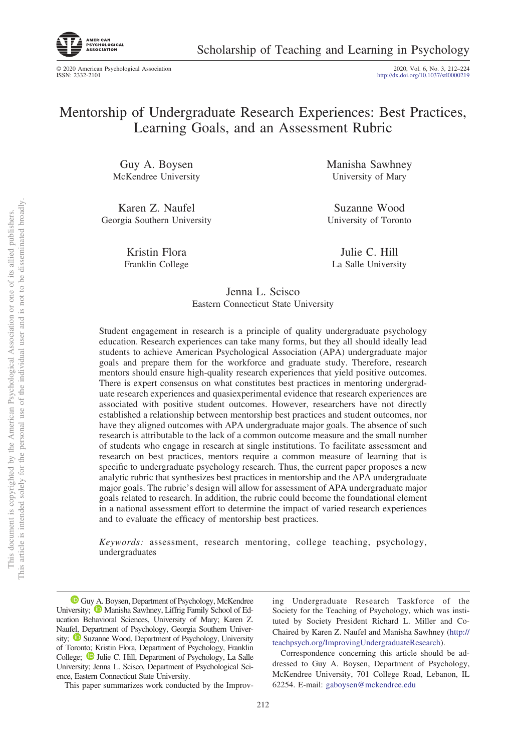

Scholarship of Teaching and Learning in Psychology

© 2020 American Psychological Association ISSN: 2332-2101

2020, Vol. 6, No. 3, 212-224<br>http://dx.doi.org[/10.1037/stl0000219](http://dx.doi.org/10.1037/stl0000219)

# Mentorship of Undergraduate Research Experiences: Best Practices, Learning Goals, and an Assessment Rubric

Guy A. Boysen McKendree University

Karen Z. Naufel Georgia Southern University

> Kristin Flora Franklin College

Manisha Sawhney University of Mary

Suzanne Wood University of Toronto

Julie C. Hill La Salle University

## Jenna L. Scisco Eastern Connecticut State University

Student engagement in research is a principle of quality undergraduate psychology education. Research experiences can take many forms, but they all should ideally lead students to achieve American Psychological Association (APA) undergraduate major goals and prepare them for the workforce and graduate study. Therefore, research mentors should ensure high-quality research experiences that yield positive outcomes. There is expert consensus on what constitutes best practices in mentoring undergraduate research experiences and quasiexperimental evidence that research experiences are associated with positive student outcomes. However, researchers have not directly established a relationship between mentorship best practices and student outcomes, nor have they aligned outcomes with APA undergraduate major goals. The absence of such research is attributable to the lack of a common outcome measure and the small number of students who engage in research at single institutions. To facilitate assessment and research on best practices, mentors require a common measure of learning that is specific to undergraduate psychology research. Thus, the current paper proposes a new analytic rubric that synthesizes best practices in mentorship and the APA undergraduate major goals. The rubric's design will allow for assessment of APA undergraduate major goals related to research. In addition, the rubric could become the foundational element in a national assessment effort to determine the impact of varied research experiences and to evaluate the efficacy of mentorship best practices.

*Keywords:* assessment, research mentoring, college teaching, psychology, undergraduates

<sup>1</sup> [Guy A. Boysen,](https://orcid.org/0000-0003-3869-9585) Department of Psychology, McKendree University;  $\bullet$  [Manisha Sawhney,](https://orcid.org/0000-0001-6127-6316) Liffrig Family School of Education Behavioral Sciences, University of Mary; Karen Z. Naufel, Department of Psychology, Georgia Southern University; **D** [Suzanne Wood,](https://orcid.org/0000-0003-3734-8927) Department of Psychology, University of Toronto; Kristin Flora, Department of Psychology, Franklin College; <sup>1</sup> [Julie C. Hill,](https://orcid.org/0000-0001-9359-8707) Department of Psychology, La Salle University; Jenna L. Scisco, Department of Psychological Science, Eastern Connecticut State University.

This paper summarizes work conducted by the Improv-

ing Undergraduate Research Taskforce of the Society for the Teaching of Psychology, which was instituted by Society President Richard L. Miller and Co-Chaired by Karen Z. Naufel and Manisha Sawhney [\(http://](http://teachpsych.org/ImprovingUndergraduateResearch) [teachpsych.org/ImprovingUndergraduateResearch\)](http://teachpsych.org/ImprovingUndergraduateResearch).

Correspondence concerning this article should be addressed to Guy A. Boysen, Department of Psychology, McKendree University, 701 College Road, Lebanon, IL 62254. E-mail: [gaboysen@mckendree.edu](mailto:gaboysen@mckendree.edu)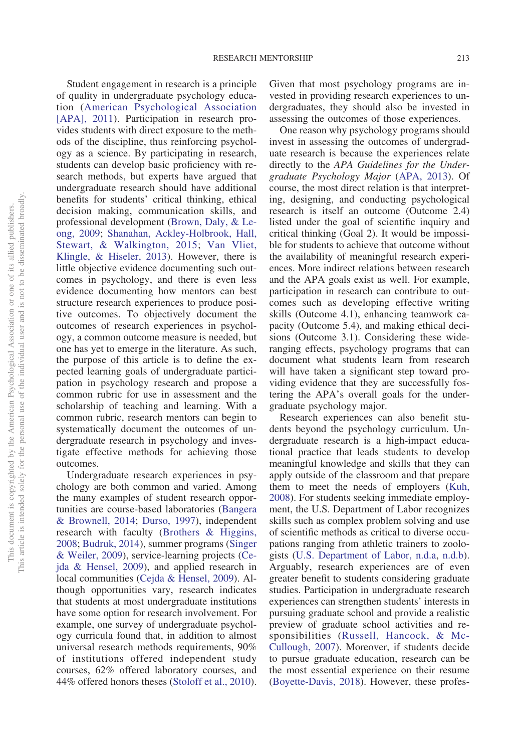Student engagement in research is a principle of quality in undergraduate psychology education [\(American Psychological Association](#page-11-0) [\[APA\], 2011\)](#page-11-0). Participation in research provides students with direct exposure to the methods of the discipline, thus reinforcing psychology as a science. By participating in research, students can develop basic proficiency with research methods, but experts have argued that undergraduate research should have additional benefits for students' critical thinking, ethical decision making, communication skills, and professional development [\(Brown, Daly, & Le](#page-11-1)[ong, 2009;](#page-11-1) [Shanahan, Ackley-Holbrook, Hall,](#page-12-0) [Stewart, & Walkington, 2015;](#page-12-0) [Van Vliet,](#page-12-1) [Klingle, & Hiseler, 2013\)](#page-12-1). However, there is little objective evidence documenting such outcomes in psychology, and there is even less evidence documenting how mentors can best structure research experiences to produce positive outcomes. To objectively document the outcomes of research experiences in psychology, a common outcome measure is needed, but one has yet to emerge in the literature. As such, the purpose of this article is to define the expected learning goals of undergraduate participation in psychology research and propose a common rubric for use in assessment and the scholarship of teaching and learning. With a common rubric, research mentors can begin to systematically document the outcomes of undergraduate research in psychology and investigate effective methods for achieving those outcomes.

Undergraduate research experiences in psychology are both common and varied. Among the many examples of student research opportunities are course-based laboratories [\(Bangera](#page-11-2) [& Brownell, 2014;](#page-11-2) [Durso, 1997\)](#page-11-3), independent research with faculty [\(Brothers & Higgins,](#page-11-4) [2008;](#page-11-4) [Budruk, 2014\)](#page-11-5), summer programs [\(Singer](#page-12-2) [& Weiler, 2009\)](#page-12-2), service-learning projects [\(Ce](#page-11-6)[jda & Hensel, 2009\)](#page-11-6), and applied research in local communities [\(Cejda & Hensel, 2009\)](#page-11-6). Although opportunities vary, research indicates that students at most undergraduate institutions have some option for research involvement. For example, one survey of undergraduate psychology curricula found that, in addition to almost universal research methods requirements, 90% of institutions offered independent study courses, 62% offered laboratory courses, and 44% offered honors theses [\(Stoloff et al., 2010\)](#page-12-3). Given that most psychology programs are invested in providing research experiences to undergraduates, they should also be invested in assessing the outcomes of those experiences.

One reason why psychology programs should invest in assessing the outcomes of undergraduate research is because the experiences relate directly to the *APA Guidelines for the Undergraduate Psychology Major* [\(APA, 2013\)](#page-11-7). Of course, the most direct relation is that interpreting, designing, and conducting psychological research is itself an outcome (Outcome 2.4) listed under the goal of scientific inquiry and critical thinking (Goal 2). It would be impossible for students to achieve that outcome without the availability of meaningful research experiences. More indirect relations between research and the APA goals exist as well. For example, participation in research can contribute to outcomes such as developing effective writing skills (Outcome 4.1), enhancing teamwork capacity (Outcome 5.4), and making ethical decisions (Outcome 3.1). Considering these wideranging effects, psychology programs that can document what students learn from research will have taken a significant step toward providing evidence that they are successfully fostering the APA's overall goals for the undergraduate psychology major.

Research experiences can also benefit students beyond the psychology curriculum. Undergraduate research is a high-impact educational practice that leads students to develop meaningful knowledge and skills that they can apply outside of the classroom and that prepare them to meet the needs of employers [\(Kuh,](#page-11-8) [2008\)](#page-11-8). For students seeking immediate employment, the U.S. Department of Labor recognizes skills such as complex problem solving and use of scientific methods as critical to diverse occupations ranging from athletic trainers to zoologists [\(U.S. Department of Labor, n.d.a,](#page-12-4) [n.d.b\)](#page-12-5). Arguably, research experiences are of even greater benefit to students considering graduate studies. Participation in undergraduate research experiences can strengthen students' interests in pursuing graduate school and provide a realistic preview of graduate school activities and responsibilities [\(Russell, Hancock, & Mc-](#page-12-6)[Cullough, 2007\)](#page-12-6). Moreover, if students decide to pursue graduate education, research can be the most essential experience on their resume [\(Boyette-Davis, 2018\)](#page-11-9). However, these profes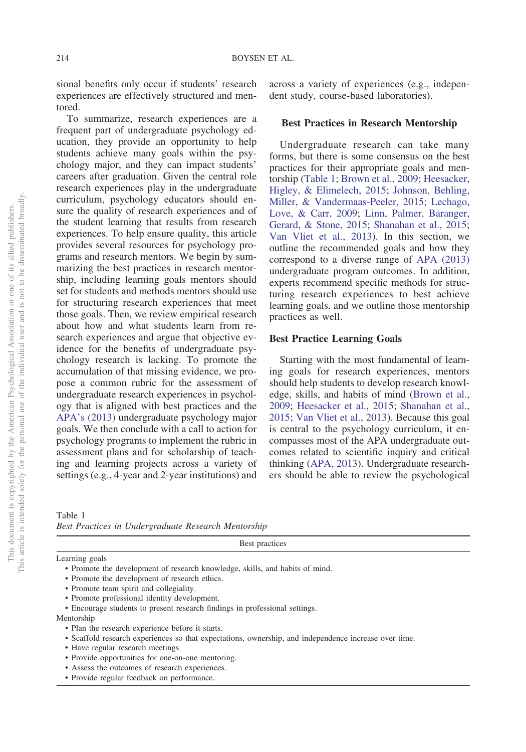sional benefits only occur if students' research experiences are effectively structured and mentored.

To summarize, research experiences are a frequent part of undergraduate psychology education, they provide an opportunity to help students achieve many goals within the psychology major, and they can impact students' careers after graduation. Given the central role research experiences play in the undergraduate curriculum, psychology educators should ensure the quality of research experiences and of the student learning that results from research experiences. To help ensure quality, this article provides several resources for psychology programs and research mentors. We begin by summarizing the best practices in research mentorship, including learning goals mentors should set for students and methods mentors should use for structuring research experiences that meet those goals. Then, we review empirical research about how and what students learn from research experiences and argue that objective evidence for the benefits of undergraduate psychology research is lacking. To promote the accumulation of that missing evidence, we propose a common rubric for the assessment of undergraduate research experiences in psychology that is aligned with best practices and the [APA's \(2013\)](#page-11-7) undergraduate psychology major goals. We then conclude with a call to action for psychology programs to implement the rubric in assessment plans and for scholarship of teaching and learning projects across a variety of settings (e.g., 4-year and 2-year institutions) and

across a variety of experiences (e.g., independent study, course-based laboratories).

### **Best Practices in Research Mentorship**

Undergraduate research can take many forms, but there is some consensus on the best practices for their appropriate goals and mentorship [\(Table 1;](#page-2-0) [Brown et al., 2009;](#page-11-1) [Heesacker,](#page-11-10) [Higley, & Elimelech, 2015;](#page-11-10) [Johnson, Behling,](#page-11-11) [Miller, & Vandermaas-Peeler, 2015;](#page-11-11) [Lechago,](#page-11-12) [Love, & Carr, 2009;](#page-11-12) [Linn, Palmer, Baranger,](#page-11-13) [Gerard, & Stone, 2015;](#page-11-13) [Shanahan et al., 2015;](#page-12-0) [Van Vliet et al., 2013\)](#page-12-1). In this section, we outline the recommended goals and how they correspond to a diverse range of [APA \(2013\)](#page-11-7) undergraduate program outcomes. In addition, experts recommend specific methods for structuring research experiences to best achieve learning goals, and we outline those mentorship practices as well.

#### **Best Practice Learning Goals**

Starting with the most fundamental of learning goals for research experiences, mentors should help students to develop research knowledge, skills, and habits of mind [\(Brown et al.,](#page-11-1) [2009;](#page-11-1) [Heesacker et al., 2015;](#page-11-10) [Shanahan et al.,](#page-12-0) [2015;](#page-12-0) [Van Vliet et al., 2013\)](#page-12-1). Because this goal is central to the psychology curriculum, it encompasses most of the APA undergraduate outcomes related to scientific inquiry and critical thinking [\(APA, 2013\)](#page-11-7). Undergraduate researchers should be able to review the psychological

<span id="page-2-0"></span>

| Table 1 |                                                     |  |
|---------|-----------------------------------------------------|--|
|         | Best Practices in Undergraduate Research Mentorship |  |

Best practices

Learning goals

• Promote the development of research knowledge, skills, and habits of mind.

- Promote the development of research ethics.
- Promote team spirit and collegiality.
- Promote professional identity development.

• Encourage students to present research findings in professional settings.

Mentorship

- Scaffold research experiences so that expectations, ownership, and independence increase over time.
- Have regular research meetings.
- Provide opportunities for one-on-one mentoring.
- Assess the outcomes of research experiences.
- Provide regular feedback on performance.

<sup>•</sup> Plan the research experience before it starts.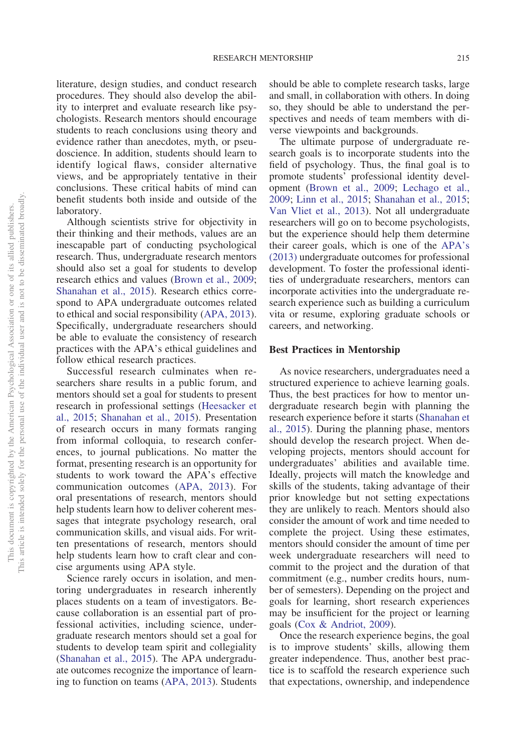literature, design studies, and conduct research procedures. They should also develop the ability to interpret and evaluate research like psychologists. Research mentors should encourage students to reach conclusions using theory and evidence rather than anecdotes, myth, or pseudoscience. In addition, students should learn to identify logical flaws, consider alternative views, and be appropriately tentative in their conclusions. These critical habits of mind can benefit students both inside and outside of the laboratory.

Although scientists strive for objectivity in their thinking and their methods, values are an inescapable part of conducting psychological research. Thus, undergraduate research mentors should also set a goal for students to develop research ethics and values [\(Brown et al., 2009;](#page-11-1) [Shanahan et al., 2015\)](#page-12-0). Research ethics correspond to APA undergraduate outcomes related to ethical and social responsibility [\(APA, 2013\)](#page-11-7). Specifically, undergraduate researchers should be able to evaluate the consistency of research practices with the APA's ethical guidelines and follow ethical research practices.

Successful research culminates when researchers share results in a public forum, and mentors should set a goal for students to present research in professional settings [\(Heesacker et](#page-11-10) [al., 2015;](#page-11-10) [Shanahan et al., 2015\)](#page-12-0). Presentation of research occurs in many formats ranging from informal colloquia, to research conferences, to journal publications. No matter the format, presenting research is an opportunity for students to work toward the APA's effective communication outcomes [\(APA, 2013\)](#page-11-7). For oral presentations of research, mentors should help students learn how to deliver coherent messages that integrate psychology research, oral communication skills, and visual aids. For written presentations of research, mentors should help students learn how to craft clear and concise arguments using APA style.

Science rarely occurs in isolation, and mentoring undergraduates in research inherently places students on a team of investigators. Because collaboration is an essential part of professional activities, including science, undergraduate research mentors should set a goal for students to develop team spirit and collegiality [\(Shanahan et al., 2015\)](#page-12-0). The APA undergraduate outcomes recognize the importance of learning to function on teams [\(APA, 2013\)](#page-11-7). Students should be able to complete research tasks, large and small, in collaboration with others. In doing so, they should be able to understand the perspectives and needs of team members with diverse viewpoints and backgrounds.

The ultimate purpose of undergraduate research goals is to incorporate students into the field of psychology. Thus, the final goal is to promote students' professional identity development [\(Brown et al., 2009;](#page-11-1) [Lechago et al.,](#page-11-12) [2009;](#page-11-12) [Linn et al., 2015;](#page-11-13) [Shanahan et al., 2015;](#page-12-0) [Van Vliet et al., 2013\)](#page-12-1). Not all undergraduate researchers will go on to become psychologists, but the experience should help them determine their career goals, which is one of the [APA's](#page-11-7) [\(2013\)](#page-11-7) undergraduate outcomes for professional development. To foster the professional identities of undergraduate researchers, mentors can incorporate activities into the undergraduate research experience such as building a curriculum vita or resume, exploring graduate schools or careers, and networking.

#### **Best Practices in Mentorship**

As novice researchers, undergraduates need a structured experience to achieve learning goals. Thus, the best practices for how to mentor undergraduate research begin with planning the research experience before it starts [\(Shanahan et](#page-12-0) [al., 2015\)](#page-12-0). During the planning phase, mentors should develop the research project. When developing projects, mentors should account for undergraduates' abilities and available time. Ideally, projects will match the knowledge and skills of the students, taking advantage of their prior knowledge but not setting expectations they are unlikely to reach. Mentors should also consider the amount of work and time needed to complete the project. Using these estimates, mentors should consider the amount of time per week undergraduate researchers will need to commit to the project and the duration of that commitment (e.g., number credits hours, number of semesters). Depending on the project and goals for learning, short research experiences may be insufficient for the project or learning goals [\(Cox & Andriot, 2009\)](#page-11-14).

Once the research experience begins, the goal is to improve students' skills, allowing them greater independence. Thus, another best practice is to scaffold the research experience such that expectations, ownership, and independence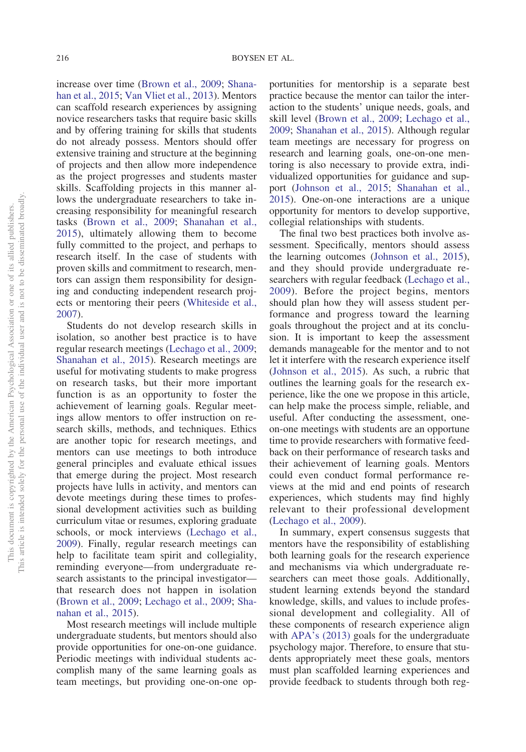increase over time [\(Brown et al., 2009;](#page-11-1) [Shana](#page-12-0)[han et al., 2015;](#page-12-0) [Van Vliet et al., 2013\)](#page-12-1). Mentors can scaffold research experiences by assigning novice researchers tasks that require basic skills and by offering training for skills that students do not already possess. Mentors should offer extensive training and structure at the beginning of projects and then allow more independence as the project progresses and students master skills. Scaffolding projects in this manner allows the undergraduate researchers to take increasing responsibility for meaningful research tasks [\(Brown et al., 2009;](#page-11-1) [Shanahan et al.,](#page-12-0) [2015\)](#page-12-0), ultimately allowing them to become fully committed to the project, and perhaps to research itself. In the case of students with proven skills and commitment to research, mentors can assign them responsibility for designing and conducting independent research projects or mentoring their peers [\(Whiteside et al.,](#page-12-7) [2007\)](#page-12-7).

Students do not develop research skills in isolation, so another best practice is to have regular research meetings [\(Lechago et al., 2009;](#page-11-12) [Shanahan et al., 2015\)](#page-12-0). Research meetings are useful for motivating students to make progress on research tasks, but their more important function is as an opportunity to foster the achievement of learning goals. Regular meetings allow mentors to offer instruction on research skills, methods, and techniques. Ethics are another topic for research meetings, and mentors can use meetings to both introduce general principles and evaluate ethical issues that emerge during the project. Most research projects have lulls in activity, and mentors can devote meetings during these times to professional development activities such as building curriculum vitae or resumes, exploring graduate schools, or mock interviews [\(Lechago et al.,](#page-11-12) [2009\)](#page-11-12). Finally, regular research meetings can help to facilitate team spirit and collegiality, reminding everyone—from undergraduate research assistants to the principal investigator that research does not happen in isolation [\(Brown et al., 2009;](#page-11-1) [Lechago et al., 2009;](#page-11-12) [Sha](#page-12-0)[nahan et al., 2015\)](#page-12-0).

Most research meetings will include multiple undergraduate students, but mentors should also provide opportunities for one-on-one guidance. Periodic meetings with individual students accomplish many of the same learning goals as team meetings, but providing one-on-one op-

portunities for mentorship is a separate best practice because the mentor can tailor the interaction to the students' unique needs, goals, and skill level [\(Brown et al., 2009;](#page-11-1) [Lechago et al.,](#page-11-12) [2009;](#page-11-12) [Shanahan et al., 2015\)](#page-12-0). Although regular team meetings are necessary for progress on research and learning goals, one-on-one mentoring is also necessary to provide extra, individualized opportunities for guidance and support [\(Johnson et al., 2015;](#page-11-11) [Shanahan et al.,](#page-12-0) [2015\)](#page-12-0). One-on-one interactions are a unique opportunity for mentors to develop supportive, collegial relationships with students.

The final two best practices both involve assessment. Specifically, mentors should assess the learning outcomes [\(Johnson et al., 2015\)](#page-11-11), and they should provide undergraduate researchers with regular feedback [\(Lechago et al.,](#page-11-12) [2009\)](#page-11-12). Before the project begins, mentors should plan how they will assess student performance and progress toward the learning goals throughout the project and at its conclusion. It is important to keep the assessment demands manageable for the mentor and to not let it interfere with the research experience itself [\(Johnson et al., 2015\)](#page-11-11). As such, a rubric that outlines the learning goals for the research experience, like the one we propose in this article, can help make the process simple, reliable, and useful. After conducting the assessment, oneon-one meetings with students are an opportune time to provide researchers with formative feedback on their performance of research tasks and their achievement of learning goals. Mentors could even conduct formal performance reviews at the mid and end points of research experiences, which students may find highly relevant to their professional development [\(Lechago et al., 2009\)](#page-11-12).

In summary, expert consensus suggests that mentors have the responsibility of establishing both learning goals for the research experience and mechanisms via which undergraduate researchers can meet those goals. Additionally, student learning extends beyond the standard knowledge, skills, and values to include professional development and collegiality. All of these components of research experience align with [APA's \(2013\)](#page-11-7) goals for the undergraduate psychology major. Therefore, to ensure that students appropriately meet these goals, mentors must plan scaffolded learning experiences and provide feedback to students through both reg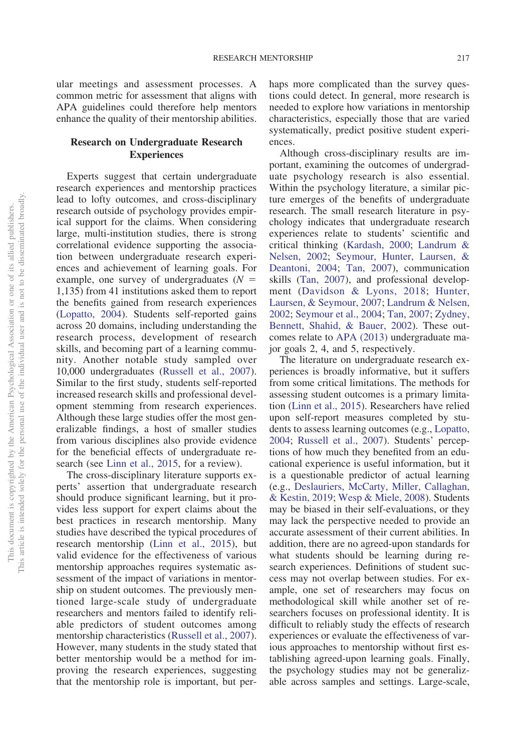ular meetings and assessment processes. A common metric for assessment that aligns with APA guidelines could therefore help mentors enhance the quality of their mentorship abilities.

## **Research on Undergraduate Research Experiences**

Experts suggest that certain undergraduate research experiences and mentorship practices lead to lofty outcomes, and cross-disciplinary research outside of psychology provides empirical support for the claims. When considering large, multi-institution studies, there is strong correlational evidence supporting the association between undergraduate research experiences and achievement of learning goals. For example, one survey of undergraduates  $(N =$ 1,135) from 41 institutions asked them to report the benefits gained from research experiences [\(Lopatto, 2004\)](#page-12-8). Students self-reported gains across 20 domains, including understanding the research process, development of research skills, and becoming part of a learning community. Another notable study sampled over 10,000 undergraduates [\(Russell et al., 2007\)](#page-12-6). Similar to the first study, students self-reported increased research skills and professional development stemming from research experiences. Although these large studies offer the most generalizable findings, a host of smaller studies from various disciplines also provide evidence for the beneficial effects of undergraduate research (see [Linn et al., 2015,](#page-11-13) for a review).

The cross-disciplinary literature supports experts' assertion that undergraduate research should produce significant learning, but it provides less support for expert claims about the best practices in research mentorship. Many studies have described the typical procedures of research mentorship [\(Linn et al., 2015\)](#page-11-13), but valid evidence for the effectiveness of various mentorship approaches requires systematic assessment of the impact of variations in mentorship on student outcomes. The previously mentioned large-scale study of undergraduate researchers and mentors failed to identify reliable predictors of student outcomes among mentorship characteristics [\(Russell et al., 2007\)](#page-12-6). However, many students in the study stated that better mentorship would be a method for improving the research experiences, suggesting that the mentorship role is important, but per-

haps more complicated than the survey questions could detect. In general, more research is needed to explore how variations in mentorship characteristics, especially those that are varied systematically, predict positive student experiences.

Although cross-disciplinary results are important, examining the outcomes of undergraduate psychology research is also essential. Within the psychology literature, a similar picture emerges of the benefits of undergraduate research. The small research literature in psychology indicates that undergraduate research experiences relate to students' scientific and critical thinking [\(Kardash, 2000;](#page-11-15) [Landrum &](#page-11-16) [Nelsen, 2002;](#page-11-16) [Seymour, Hunter, Laursen, &](#page-12-9) [Deantoni, 2004;](#page-12-9) [Tan, 2007\)](#page-12-10), communication skills [\(Tan, 2007\)](#page-12-10), and professional development [\(Davidson & Lyons, 2018;](#page-11-17) [Hunter,](#page-11-18) [Laursen, & Seymour, 2007;](#page-11-18) [Landrum & Nelsen,](#page-11-16) [2002;](#page-11-16) [Seymour et al., 2004;](#page-12-9) [Tan, 2007;](#page-12-10) [Zydney,](#page-12-11) [Bennett, Shahid, & Bauer, 2002\)](#page-12-11). These outcomes relate to [APA \(2013\)](#page-11-7) undergraduate major goals 2, 4, and 5, respectively.

The literature on undergraduate research experiences is broadly informative, but it suffers from some critical limitations. The methods for assessing student outcomes is a primary limitation [\(Linn et al., 2015\)](#page-11-13). Researchers have relied upon self-report measures completed by students to assess learning outcomes (e.g., [Lopatto,](#page-12-8) [2004;](#page-12-8) [Russell et al., 2007\)](#page-12-6). Students' perceptions of how much they benefited from an educational experience is useful information, but it is a questionable predictor of actual learning (e.g., [Deslauriers, McCarty, Miller, Callaghan,](#page-11-19) [& Kestin, 2019;](#page-11-19) [Wesp & Miele, 2008\)](#page-12-12). Students may be biased in their self-evaluations, or they may lack the perspective needed to provide an accurate assessment of their current abilities. In addition, there are no agreed-upon standards for what students should be learning during research experiences. Definitions of student success may not overlap between studies. For example, one set of researchers may focus on methodological skill while another set of researchers focuses on professional identity. It is difficult to reliably study the effects of research experiences or evaluate the effectiveness of various approaches to mentorship without first establishing agreed-upon learning goals. Finally, the psychology studies may not be generalizable across samples and settings. Large-scale,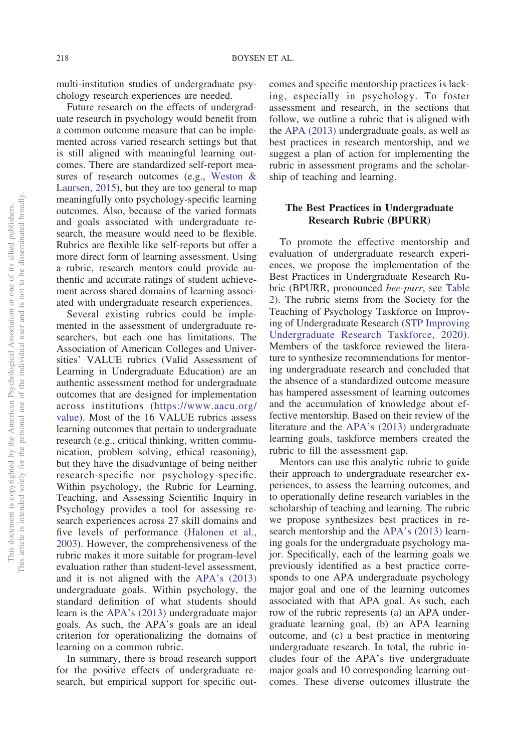multi-institution studies of undergraduate psychology research experiences are needed.

Future research on the effects of undergraduate research in psychology would benefit from a common outcome measure that can be implemented across varied research settings but that is still aligned with meaningful learning outcomes. There are standardized self-report measures of research outcomes (e.g., [Weston &](#page-12-13) [Laursen, 2015\)](#page-12-13), but they are too general to map meaningfully onto psychology-specific learning outcomes. Also, because of the varied formats and goals associated with undergraduate research, the measure would need to be flexible. Rubrics are flexible like self-reports but offer a more direct form of learning assessment. Using a rubric, research mentors could provide authentic and accurate ratings of student achievement across shared domains of learning associated with undergraduate research experiences.

Several existing rubrics could be implemented in the assessment of undergraduate researchers, but each one has limitations. The Association of American Colleges and Universities' VALUE rubrics (Valid Assessment of Learning in Undergraduate Education) are an authentic assessment method for undergraduate outcomes that are designed for implementation across institutions [\(https://www.aacu.org/](https://www.aacu.org/value) [value\)](https://www.aacu.org/value). Most of the 16 VALUE rubrics assess learning outcomes that pertain to undergraduate research (e.g., critical thinking, written communication, problem solving, ethical reasoning), but they have the disadvantage of being neither research-specific nor psychology-specific. Within psychology, the Rubric for Learning, Teaching, and Assessing Scientific Inquiry in Psychology provides a tool for assessing research experiences across 27 skill domains and five levels of performance [\(Halonen et al.,](#page-11-20) [2003\)](#page-11-20). However, the comprehensiveness of the rubric makes it more suitable for program-level evaluation rather than student-level assessment, and it is not aligned with the [APA's \(2013\)](#page-11-7) undergraduate goals. Within psychology, the standard definition of what students should learn is the [APA's \(2013\)](#page-11-7) undergraduate major goals. As such, the APA's goals are an ideal criterion for operationalizing the domains of learning on a common rubric.

In summary, there is broad research support for the positive effects of undergraduate research, but empirical support for specific outcomes and specific mentorship practices is lacking, especially in psychology. To foster assessment and research, in the sections that follow, we outline a rubric that is aligned with the [APA \(2013\)](#page-11-7) undergraduate goals, as well as best practices in research mentorship, and we suggest a plan of action for implementing the rubric in assessment programs and the scholarship of teaching and learning.

## **The Best Practices in Undergraduate Research Rubric (BPURR)**

To promote the effective mentorship and evaluation of undergraduate research experiences, we propose the implementation of the Best Practices in Undergraduate Research Rubric (BPURR, pronounced *bee-purr*, see [Table](#page-7-0) [2\)](#page-7-0). The rubric stems from the Society for the Teaching of Psychology Taskforce on Improving of Undergraduate Research [\(STP Improving](#page-12-14) [Undergraduate Research Taskforce, 2020\)](#page-12-14). Members of the taskforce reviewed the literature to synthesize recommendations for mentoring undergraduate research and concluded that the absence of a standardized outcome measure has hampered assessment of learning outcomes and the accumulation of knowledge about effective mentorship. Based on their review of the literature and the [APA's \(2013\)](#page-11-7) undergraduate learning goals, taskforce members created the rubric to fill the assessment gap.

Mentors can use this analytic rubric to guide their approach to undergraduate researcher experiences, to assess the learning outcomes, and to operationally define research variables in the scholarship of teaching and learning. The rubric we propose synthesizes best practices in research mentorship and the [APA's \(2013\)](#page-11-7) learning goals for the undergraduate psychology major. Specifically, each of the learning goals we previously identified as a best practice corresponds to one APA undergraduate psychology major goal and one of the learning outcomes associated with that APA goal. As such, each row of the rubric represents (a) an APA undergraduate learning goal, (b) an APA learning outcome, and (c) a best practice in mentoring undergraduate research. In total, the rubric includes four of the APA's five undergraduate major goals and 10 corresponding learning outcomes. These diverse outcomes illustrate the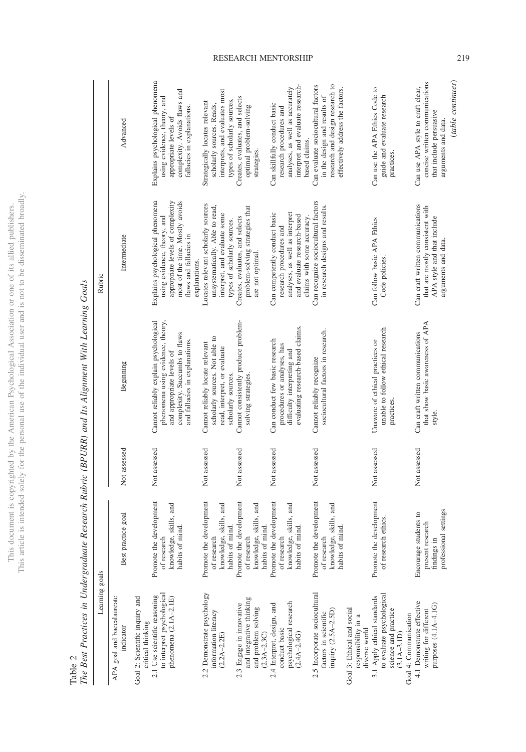|                               | j                    |
|-------------------------------|----------------------|
|                               | र<br>१<br>ì          |
| j<br>ă                        |                      |
|                               |                      |
| ł                             |                      |
|                               |                      |
|                               |                      |
|                               |                      |
|                               |                      |
| j                             |                      |
|                               | ţ                    |
|                               |                      |
|                               |                      |
|                               |                      |
|                               |                      |
|                               |                      |
|                               |                      |
|                               |                      |
|                               |                      |
|                               |                      |
|                               |                      |
|                               |                      |
|                               |                      |
|                               |                      |
|                               |                      |
|                               | j,                   |
|                               |                      |
|                               |                      |
|                               |                      |
|                               |                      |
| j                             |                      |
| )                             | $\ddot{\phantom{a}}$ |
|                               |                      |
| į<br>$\overline{\phantom{a}}$ |                      |
|                               |                      |
|                               |                      |
|                               |                      |
| I                             |                      |
|                               | 5                    |
|                               |                      |
|                               |                      |
| ij                            |                      |
| ł                             |                      |
| Į                             |                      |
|                               |                      |
|                               |                      |
|                               |                      |
| the r                         |                      |
|                               |                      |
|                               |                      |
|                               |                      |
| 11111                         | í                    |
| I                             | í                    |
| ļ<br>J                        |                      |
| ì                             |                      |
| ï                             |                      |
| )                             |                      |
| $\overline{a}$                |                      |
|                               |                      |
|                               |                      |
|                               | į                    |
|                               |                      |
|                               |                      |
|                               |                      |
|                               |                      |
|                               |                      |
|                               |                      |
|                               |                      |
| L'his d <sub>'</sub>          | his                  |
|                               |                      |
|                               | É<br>ä               |
|                               |                      |

<span id="page-7-0"></span>

|              | ĺ                                                    |
|--------------|------------------------------------------------------|
|              |                                                      |
|              |                                                      |
|              |                                                      |
|              | j                                                    |
|              |                                                      |
|              |                                                      |
|              |                                                      |
|              |                                                      |
|              |                                                      |
|              |                                                      |
|              |                                                      |
|              |                                                      |
|              | $\ddot{\phantom{a}}$                                 |
|              |                                                      |
|              |                                                      |
|              |                                                      |
|              |                                                      |
|              | $\overline{a}$                                       |
|              |                                                      |
|              |                                                      |
|              | ļ                                                    |
|              |                                                      |
|              |                                                      |
|              |                                                      |
|              | ١                                                    |
|              |                                                      |
|              | $\frac{1}{2}$                                        |
|              |                                                      |
|              |                                                      |
|              |                                                      |
|              |                                                      |
|              |                                                      |
| l            | ì                                                    |
| ij<br>j<br>į |                                                      |
| ֚֓<br>l      | ֧֧ׅ֧֚֚֚֚֚֚֚֚֚֚֚֚֚֚֚֚֚֚֚֚֚֚֚֚֚֚֚֚֚֚֚֚֚֡֝֝֓֓֡֓֡֡֓<br>i |

| Learning goals                                                                                                                               |                                                                                        |              |                                                                                                                                                                            | Rubric                                                                                                                                                                            |                                                                                                                                                        |
|----------------------------------------------------------------------------------------------------------------------------------------------|----------------------------------------------------------------------------------------|--------------|----------------------------------------------------------------------------------------------------------------------------------------------------------------------------|-----------------------------------------------------------------------------------------------------------------------------------------------------------------------------------|--------------------------------------------------------------------------------------------------------------------------------------------------------|
| APA goal and baccalaureate<br>indicator                                                                                                      | Best practice goal                                                                     | Not assessed | Beginning                                                                                                                                                                  | Intermediate                                                                                                                                                                      | Advanced                                                                                                                                               |
| to interpret psychological<br>2.1 Use scientific reasoning<br>Goal 2: Scientific inquiry and<br>phenomena $(2.1A-2.1E)$<br>critical thinking | Promote the development<br>knowledge, skills, and<br>mind.<br>of research<br>habits of | Not assessed | phenomena using evidence, theory,<br>Cannot reliably explain psychological<br>complexity. Succumbs to flaws<br>and fallacies in explanations.<br>and appropriate levels of | Explains psychological phenomena<br>appropriate levels of complexity<br>most of the time. Mostly avoids<br>using evidence, theory, and<br>flaws and fallacies in<br>explanations. | Explains psychological phenomena<br>complexity. Avoids flaws and<br>using evidence, theory, and<br>fallacies in explanations.<br>appropriate levels of |
| 2.2 Demonstrate psychology<br>information literacy<br>$(2.2A - 2.2E)$                                                                        | Promote the development<br>knowledge, skills, and<br>habits of mind.<br>of research    | Not assessed | scholarly sources. Not able to<br>Cannot reliably locate relevant<br>read, interpret, or evaluate<br>scholarly sources.                                                    | Locates relevant scholarly sources<br>unsystematically. Able to read,<br>interpret, and evaluate some<br>types of scholarly sources.                                              | interprets, and evaluates most<br>types of scholarly sources.<br>Strategically locates relevant<br>scholarly sources. Reads,                           |
| and integrative thinking<br>2.3 Engage in innovative<br>and problem solving<br>$(2.3A - 2.3C)$                                               | Promote the development<br>knowledge, skills, and<br>habits of mind.<br>of research    | Not assessed | Cannot consistently produce problem-<br>solving strategies.                                                                                                                | problem-solving strategies that<br>Creates, evaluates, and selects<br>are not optimal.                                                                                            | Creates, evaluates, and selects<br>optimal problem-solving<br>strategies.                                                                              |
| psychological research<br>2.4 Interpret, design, and<br>conduct basic<br>$(2.4A - 2.4G)$                                                     | Promote the development<br>knowledge, skills, and<br>habits of mind.<br>of research    | Not assessed | evaluating research-based claims.<br>Can conduct few basic research<br>procedures or analyses, has<br>difficulty interpreting and                                          | Can competently conduct basic<br>analyses, as well as interpret<br>and evaluate research-based<br>claims with some accuracy.<br>research procedures and                           | interpret and evaluate research-<br>analyses, as well as accurately<br>Can skillfully conduct basic<br>research procedures and<br>based claims.        |
| 2.5 Incorporate sociocultural<br>inquiry (2.5A-2.5D)<br>factors in scientific                                                                | Promote the development<br>knowledge, skills, and<br>habits of mind.<br>of research    | Not assessed | sociocultural factors in research.<br>Cannot reliably recognize                                                                                                            | Can recognize sociocultural factors<br>in research designs and results.                                                                                                           | research and design research to<br>Can evaluate sociocultural factors<br>effectively address the factors.<br>in the design and results of              |
| Goal 3: Ethical and social<br>responsibility in a<br>diverse world                                                                           |                                                                                        |              |                                                                                                                                                                            |                                                                                                                                                                                   |                                                                                                                                                        |
| to evaluate psychological<br>3.1 Apply ethical standards<br>science and practice<br>Goal 4: Communication<br>$(3.1A-3.1D)$                   | Promote the development<br>of research ethics.                                         | Not assessed | unable to follow ethical research<br>Unaware of ethical practices or<br>practices.                                                                                         | Can follow basic APA Ethics<br>Code policies.                                                                                                                                     | Can use the APA Ethics Code to<br>guide and evaluate research<br>practices.                                                                            |
| 4.1 Demonstrate effective<br>purposes (4.1A-4.1G)<br>writing for different                                                                   | professional settings<br>Encourage students to<br>present research<br>findings in      | Not assessed | that show basic awareness of APA<br>Can craft written communications<br>style.                                                                                             | Can craft written communications<br>that are mostly consistent with<br>APA style and that include<br>arguments and data.                                                          | (table continues)<br>concise written communications<br>Can use APA style to craft clear,<br>that include persuasive<br>arguments and data.             |
|                                                                                                                                              |                                                                                        |              |                                                                                                                                                                            |                                                                                                                                                                                   |                                                                                                                                                        |

## RESEARCH MENTORSHIP 219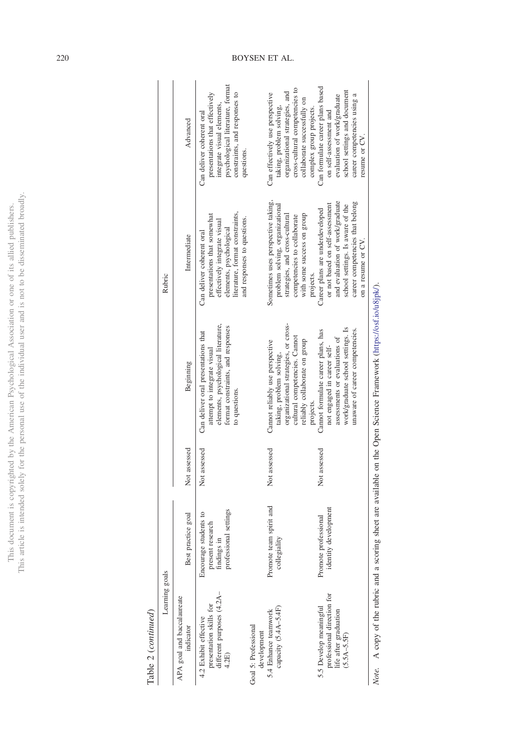This document is copyrighted by the American Psychological Association or one of its allied publishers.<br>This article is intended solely for the personal use of the individual user and is not to be disseminated broadly. This article is intended solely for the personal use of the individual user and is not to be disseminated broadly.This document is copyrighted by the American Psychological Association or one of its allied publishers.

> ${\bf Table ~2}~(continued)$ Table 2 (*continued*)

|                | Advanced                                | psychological literature, format<br>presentations that effectively<br>constraints, and responses to<br>integrate visual elements,<br>Can deliver coherent oral<br>questions.          |                                     | cross-cultural competencies to<br>organizational strategies, and<br>Can effectively use perspective<br>collaborate successfully on<br>taking, problem solving,<br>complex group projects. | Can formulate career plans based<br>school settings and document<br>evaluation of work/graduate<br>career competencies using a<br>on self-assessment and<br>resume or CV.                          |
|----------------|-----------------------------------------|---------------------------------------------------------------------------------------------------------------------------------------------------------------------------------------|-------------------------------------|-------------------------------------------------------------------------------------------------------------------------------------------------------------------------------------------|----------------------------------------------------------------------------------------------------------------------------------------------------------------------------------------------------|
| Rubric         | Intermediate                            | literature, format constraints,<br>presentations that somewhat<br>and responses to questions.<br>effectively integrate visual<br>elements, psychological<br>Can deliver coherent oral |                                     | Sometimes uses perspective taking,<br>problem solving, organizational<br>with some success on group<br>strategies, and cross-cultural<br>competencies to collaborate<br>projects.         | and evaluation of work/graduate<br>career competencies that belong<br>or not based on self-assessment<br>school settings. Is aware of the<br>Career plans are underdeveloped<br>on a resume or CV. |
|                | Beginning                               | elements, psychological literature,<br>format constraints, and responses<br>Can deliver oral presentations that<br>attempt to integrate visual<br>to questions.                       |                                     | organizational strategies, or cross-<br>cultural competencies. Cannot<br>reliably collaborate on group<br>Cannot reliably use perspective<br>taking, problem solving,<br>projects.        | work/graduate school settings. Is<br>unaware of career competencies.<br>Cannot formulate career plans, has<br>assessments or evaluations of<br>not engaged in career self-                         |
|                | Not assessed                            | Not assessed                                                                                                                                                                          |                                     | Not assessed                                                                                                                                                                              | Not assessed                                                                                                                                                                                       |
| Learning goals | Best practice goal                      | professional settings<br>students to<br>present research<br>findings in<br>Encourage                                                                                                  |                                     | Promote team spirit and<br>collegiality                                                                                                                                                   | identity development<br>Promote professional                                                                                                                                                       |
|                | APA goal and baccalaureate<br>indicator | different purposes (4.2A-<br>presentation skills for<br>4.2 Exhibit effective<br>4.2E)                                                                                                | Goal 5: Professional<br>development | capacity (5.4A-5.4F)<br>5.4 Enhance teamwork                                                                                                                                              | professional direction for<br>5.5 Develop meaningful<br>life after graduation<br>$(5.5A - 5.5F)$                                                                                                   |

Note. A copy of the rubric and a scoring sheet are available on the Open Science Framework (https://osf.io/u8jpk/). *Note.* A copy of the rubric and a scoring sheet are available on the Open Science Framework [\(https://osf.io/u8jpk/\)](https://osf.io/u8jpk/).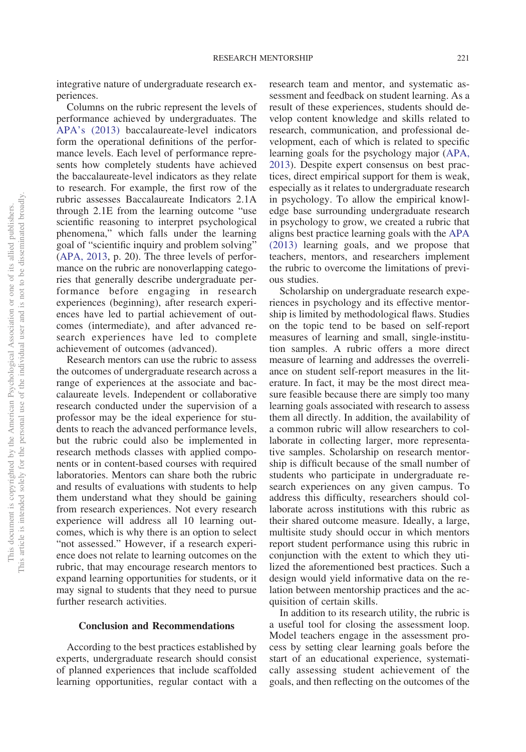integrative nature of undergraduate research experiences.

Columns on the rubric represent the levels of performance achieved by undergraduates. The [APA's \(2013\)](#page-11-7) baccalaureate-level indicators form the operational definitions of the performance levels. Each level of performance represents how completely students have achieved the baccalaureate-level indicators as they relate to research. For example, the first row of the rubric assesses Baccalaureate Indicators 2.1A through 2.1E from the learning outcome "use scientific reasoning to interpret psychological phenomena," which falls under the learning goal of "scientific inquiry and problem solving" [\(APA, 2013,](#page-11-7) p. 20). The three levels of performance on the rubric are nonoverlapping categories that generally describe undergraduate performance before engaging in research experiences (beginning), after research experiences have led to partial achievement of outcomes (intermediate), and after advanced research experiences have led to complete achievement of outcomes (advanced).

Research mentors can use the rubric to assess the outcomes of undergraduate research across a range of experiences at the associate and baccalaureate levels. Independent or collaborative research conducted under the supervision of a professor may be the ideal experience for students to reach the advanced performance levels, but the rubric could also be implemented in research methods classes with applied components or in content-based courses with required laboratories. Mentors can share both the rubric and results of evaluations with students to help them understand what they should be gaining from research experiences. Not every research experience will address all 10 learning outcomes, which is why there is an option to select "not assessed." However, if a research experience does not relate to learning outcomes on the rubric, that may encourage research mentors to expand learning opportunities for students, or it may signal to students that they need to pursue further research activities.

## **Conclusion and Recommendations**

According to the best practices established by experts, undergraduate research should consist of planned experiences that include scaffolded learning opportunities, regular contact with a research team and mentor, and systematic assessment and feedback on student learning. As a result of these experiences, students should develop content knowledge and skills related to research, communication, and professional development, each of which is related to specific learning goals for the psychology major [\(APA,](#page-11-7) [2013\)](#page-11-7). Despite expert consensus on best practices, direct empirical support for them is weak, especially as it relates to undergraduate research in psychology. To allow the empirical knowledge base surrounding undergraduate research in psychology to grow, we created a rubric that aligns best practice learning goals with the [APA](#page-11-7) [\(2013\)](#page-11-7) learning goals, and we propose that teachers, mentors, and researchers implement the rubric to overcome the limitations of previous studies.

Scholarship on undergraduate research experiences in psychology and its effective mentorship is limited by methodological flaws. Studies on the topic tend to be based on self-report measures of learning and small, single-institution samples. A rubric offers a more direct measure of learning and addresses the overreliance on student self-report measures in the literature. In fact, it may be the most direct measure feasible because there are simply too many learning goals associated with research to assess them all directly. In addition, the availability of a common rubric will allow researchers to collaborate in collecting larger, more representative samples. Scholarship on research mentorship is difficult because of the small number of students who participate in undergraduate research experiences on any given campus. To address this difficulty, researchers should collaborate across institutions with this rubric as their shared outcome measure. Ideally, a large, multisite study should occur in which mentors report student performance using this rubric in conjunction with the extent to which they utilized the aforementioned best practices. Such a design would yield informative data on the relation between mentorship practices and the acquisition of certain skills.

In addition to its research utility, the rubric is a useful tool for closing the assessment loop. Model teachers engage in the assessment process by setting clear learning goals before the start of an educational experience, systematically assessing student achievement of the goals, and then reflecting on the outcomes of the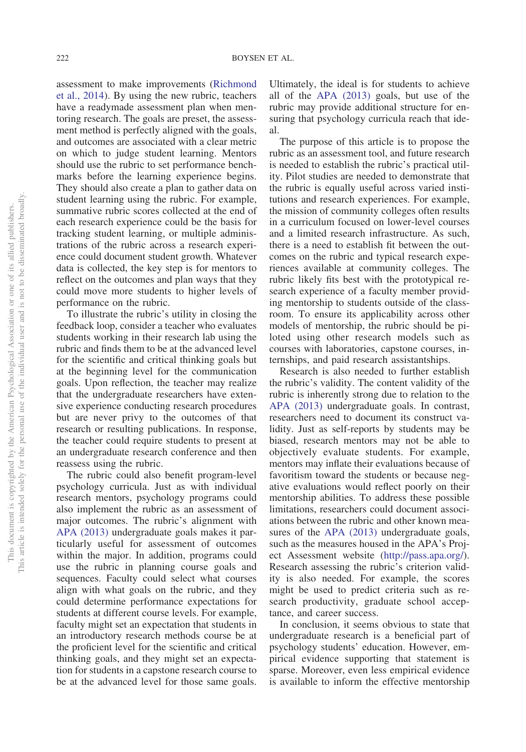assessment to make improvements [\(Richmond](#page-12-15) [et al., 2014\)](#page-12-15). By using the new rubric, teachers have a readymade assessment plan when mentoring research. The goals are preset, the assessment method is perfectly aligned with the goals, and outcomes are associated with a clear metric on which to judge student learning. Mentors should use the rubric to set performance benchmarks before the learning experience begins. They should also create a plan to gather data on student learning using the rubric. For example, summative rubric scores collected at the end of each research experience could be the basis for tracking student learning, or multiple administrations of the rubric across a research experience could document student growth. Whatever data is collected, the key step is for mentors to reflect on the outcomes and plan ways that they could move more students to higher levels of performance on the rubric.

To illustrate the rubric's utility in closing the feedback loop, consider a teacher who evaluates students working in their research lab using the rubric and finds them to be at the advanced level for the scientific and critical thinking goals but at the beginning level for the communication goals. Upon reflection, the teacher may realize that the undergraduate researchers have extensive experience conducting research procedures but are never privy to the outcomes of that research or resulting publications. In response, the teacher could require students to present at an undergraduate research conference and then reassess using the rubric.

The rubric could also benefit program-level psychology curricula. Just as with individual research mentors, psychology programs could also implement the rubric as an assessment of major outcomes. The rubric's alignment with [APA \(2013\)](#page-11-7) undergraduate goals makes it particularly useful for assessment of outcomes within the major. In addition, programs could use the rubric in planning course goals and sequences. Faculty could select what courses align with what goals on the rubric, and they could determine performance expectations for students at different course levels. For example, faculty might set an expectation that students in an introductory research methods course be at the proficient level for the scientific and critical thinking goals, and they might set an expectation for students in a capstone research course to be at the advanced level for those same goals.

Ultimately, the ideal is for students to achieve all of the [APA \(2013\)](#page-11-7) goals, but use of the rubric may provide additional structure for ensuring that psychology curricula reach that ideal.

The purpose of this article is to propose the rubric as an assessment tool, and future research is needed to establish the rubric's practical utility. Pilot studies are needed to demonstrate that the rubric is equally useful across varied institutions and research experiences. For example, the mission of community colleges often results in a curriculum focused on lower-level courses and a limited research infrastructure. As such, there is a need to establish fit between the outcomes on the rubric and typical research experiences available at community colleges. The rubric likely fits best with the prototypical research experience of a faculty member providing mentorship to students outside of the classroom. To ensure its applicability across other models of mentorship, the rubric should be piloted using other research models such as courses with laboratories, capstone courses, internships, and paid research assistantships.

Research is also needed to further establish the rubric's validity. The content validity of the rubric is inherently strong due to relation to the [APA \(2013\)](#page-11-7) undergraduate goals. In contrast, researchers need to document its construct validity. Just as self-reports by students may be biased, research mentors may not be able to objectively evaluate students. For example, mentors may inflate their evaluations because of favoritism toward the students or because negative evaluations would reflect poorly on their mentorship abilities. To address these possible limitations, researchers could document associations between the rubric and other known measures of the [APA \(2013\)](#page-11-7) undergraduate goals, such as the measures housed in the APA's Project Assessment website [\(http://pass.apa.org/\)](http://pass.apa.org/). Research assessing the rubric's criterion validity is also needed. For example, the scores might be used to predict criteria such as research productivity, graduate school acceptance, and career success.

In conclusion, it seems obvious to state that undergraduate research is a beneficial part of psychology students' education. However, empirical evidence supporting that statement is sparse. Moreover, even less empirical evidence is available to inform the effective mentorship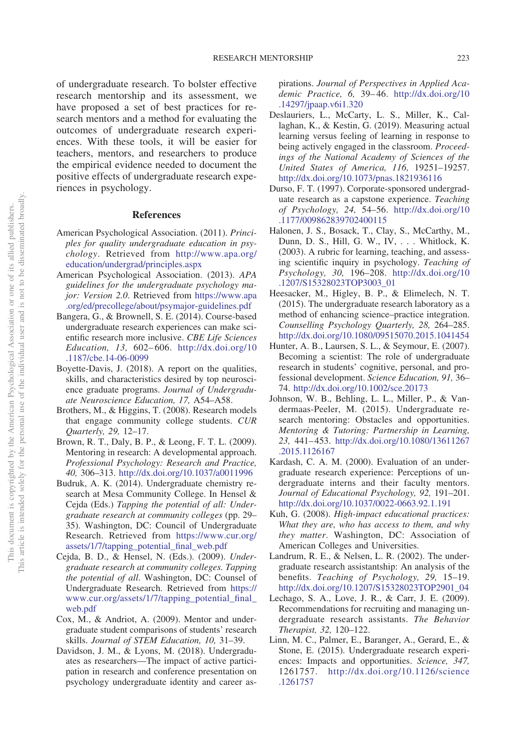of undergraduate research. To bolster effective research mentorship and its assessment, we have proposed a set of best practices for research mentors and a method for evaluating the outcomes of undergraduate research experiences. With these tools, it will be easier for teachers, mentors, and researchers to produce the empirical evidence needed to document the positive effects of undergraduate research experiences in psychology.

#### **References**

- <span id="page-11-0"></span>American Psychological Association. (2011). *Principles for quality undergraduate education in psychology*. Retrieved from [http://www.apa.org/](http://www.apa.org/education/undergrad/principles.aspx) [education/undergrad/principles.aspx](http://www.apa.org/education/undergrad/principles.aspx)
- <span id="page-11-7"></span>American Psychological Association. (2013). *APA guidelines for the undergraduate psychology major: Version 2.0*. Retrieved from [https://www.apa](https://www.apa.org/ed/precollege/about/psymajor-guidelines.pdf) [.org/ed/precollege/about/psymajor-guidelines.pdf](https://www.apa.org/ed/precollege/about/psymajor-guidelines.pdf)
- <span id="page-11-2"></span>Bangera, G., & Brownell, S. E. (2014). Course-based undergraduate research experiences can make scientific research more inclusive. *CBE Life Sciences Education, 13,* 602– 606. [http://dx.doi.org/10](http://dx.doi.org/10.1187/cbe.14-06-0099) [.1187/cbe.14-06-0099](http://dx.doi.org/10.1187/cbe.14-06-0099)
- <span id="page-11-9"></span>Boyette-Davis, J. (2018). A report on the qualities, skills, and characteristics desired by top neuroscience graduate programs. *Journal of Undergraduate Neuroscience Education, 17,* A54–A58.
- <span id="page-11-4"></span>Brothers, M., & Higgins, T. (2008). Research models that engage community college students. *CUR Quarterly, 29,* 12–17.
- <span id="page-11-1"></span>Brown, R. T., Daly, B. P., & Leong, F. T. L. (2009). Mentoring in research: A developmental approach. *Professional Psychology: Research and Practice, 40,* 306–313. <http://dx.doi.org/10.1037/a0011996>
- <span id="page-11-5"></span>Budruk, A. K. (2014). Undergraduate chemistry research at Mesa Community College. In Hensel & Cejda (Eds.) *Tapping the potential of all: Undergraduate research at community colleges* (pp. 29– 35). Washington, DC: Council of Undergraduate Research. Retrieved from [https://www.cur.org/](https://www.cur.org/assets/1/7/tapping_potential_final_web.pdf) [assets/1/7/tapping\\_potential\\_final\\_web.pdf](https://www.cur.org/assets/1/7/tapping_potential_final_web.pdf)
- <span id="page-11-6"></span>Cejda, B. D., & Hensel, N. (Eds.). (2009). *Undergraduate research at community colleges. Tapping the potential of all*. Washington, DC: Counsel of Undergraduate Research. Retrieved from [https://](https://www.cur.org/assets/1/7/tapping_potential_final_web.pdf) [www.cur.org/assets/1/7/tapping\\_potential\\_final\\_](https://www.cur.org/assets/1/7/tapping_potential_final_web.pdf) [web.pdf](https://www.cur.org/assets/1/7/tapping_potential_final_web.pdf)
- <span id="page-11-14"></span>Cox, M., & Andriot, A. (2009). Mentor and undergraduate student comparisons of students' research skills. *Journal of STEM Education, 10,* 31–39.
- <span id="page-11-17"></span>Davidson, J. M., & Lyons, M. (2018). Undergraduates as researchers—The impact of active participation in research and conference presentation on psychology undergraduate identity and career as-

pirations. *Journal of Perspectives in Applied Academic Practice, 6,* 39– 46. [http://dx.doi.org/10](http://dx.doi.org/10.14297/jpaap.v6i1.320) [.14297/jpaap.v6i1.320](http://dx.doi.org/10.14297/jpaap.v6i1.320)

- <span id="page-11-19"></span>Deslauriers, L., McCarty, L. S., Miller, K., Callaghan, K., & Kestin, G. (2019). Measuring actual learning versus feeling of learning in response to being actively engaged in the classroom. *Proceedings of the National Academy of Sciences of the United States of America, 116,* 19251–19257. <http://dx.doi.org/10.1073/pnas.1821936116>
- <span id="page-11-3"></span>Durso, F. T. (1997). Corporate-sponsored undergraduate research as a capstone experience. *Teaching of Psychology, 24,* 54–56. [http://dx.doi.org/10](http://dx.doi.org/10.1177/009862839702400115) [.1177/009862839702400115](http://dx.doi.org/10.1177/009862839702400115)
- <span id="page-11-20"></span>Halonen, J. S., Bosack, T., Clay, S., McCarthy, M., Dunn, D. S., Hill, G. W., IV,... Whitlock, K. (2003). A rubric for learning, teaching, and assessing scientific inquiry in psychology. *Teaching of Psychology, 30,* 196–208. [http://dx.doi.org/10](http://dx.doi.org/10.1207/S15328023TOP3003_01) [.1207/S15328023TOP3003\\_01](http://dx.doi.org/10.1207/S15328023TOP3003_01)
- <span id="page-11-10"></span>Heesacker, M., Higley, B. P., & Elimelech, N. T. (2015). The undergraduate research laboratory as a method of enhancing science–practice integration. *Counselling Psychology Quarterly, 28,* 264–285. <http://dx.doi.org/10.1080/09515070.2015.1041454>
- <span id="page-11-18"></span>Hunter, A. B., Laursen, S. L., & Seymour, E. (2007). Becoming a scientist: The role of undergraduate research in students' cognitive, personal, and professional development. *Science Education, 91,* 36– 74. <http://dx.doi.org/10.1002/sce.20173>
- <span id="page-11-11"></span>Johnson, W. B., Behling, L. L., Miller, P., & Vandermaas-Peeler, M. (2015). Undergraduate research mentoring: Obstacles and opportunities. *Mentoring & Tutoring: Partnership in Learning, 23,* 441– 453. [http://dx.doi.org/10.1080/13611267](http://dx.doi.org/10.1080/13611267.2015.1126167) [.2015.1126167](http://dx.doi.org/10.1080/13611267.2015.1126167)
- <span id="page-11-15"></span>Kardash, C. A. M. (2000). Evaluation of an undergraduate research experience: Perceptions of undergraduate interns and their faculty mentors. *Journal of Educational Psychology, 92,* 191–201. <http://dx.doi.org/10.1037/0022-0663.92.1.191>
- <span id="page-11-8"></span>Kuh, G. (2008). *High-impact educational practices: What they are, who has access to them, and why they matter*. Washington, DC: Association of American Colleges and Universities.
- <span id="page-11-16"></span>Landrum, R. E., & Nelsen, L. R. (2002). The undergraduate research assistantship: An analysis of the benefits. *Teaching of Psychology, 29,* 15–19. [http://dx.doi.org/10.1207/S15328023TOP2901\\_04](http://dx.doi.org/10.1207/S15328023TOP2901_04)
- <span id="page-11-12"></span>Lechago, S. A., Love, J. R., & Carr, J. E. (2009). Recommendations for recruiting and managing undergraduate research assistants. *The Behavior Therapist, 32,* 120–122.
- <span id="page-11-13"></span>Linn, M. C., Palmer, E., Baranger, A., Gerard, E., & Stone, E. (2015). Undergraduate research experiences: Impacts and opportunities. *Science, 347,* 1261757. [http://dx.doi.org/10.1126/science](http://dx.doi.org/10.1126/science.1261757) [.1261757](http://dx.doi.org/10.1126/science.1261757)